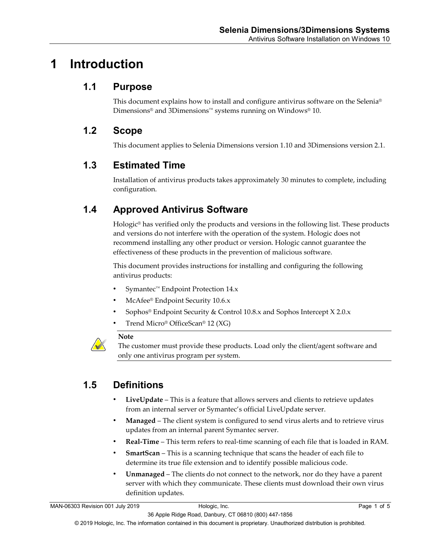# **1 Introduction**

### **1.1 Purpose**

This document explains how to install and configure antivirus software on the Selenia® Dimensions® and 3Dimensions™ systems running on Windows® 10.

### **1.2 Scope**

This document applies to Selenia Dimensions version 1.10 and 3Dimensions version 2.1.

### **1.3 Estimated Time**

Installation of antivirus products takes approximately 30 minutes to complete, including configuration.

# **1.4 Approved Antivirus Software**

Hologic® has verified only the products and versions in the following list. These products and versions do not interfere with the operation of the system. Hologic does not recommend installing any other product or version. Hologic cannot guarantee the effectiveness of these products in the prevention of malicious software.

This document provides instructions for installing and configuring the following antivirus products:

- Symantec™ Endpoint Protection 14.x
- McAfee® Endpoint Security 10.6.x
- Sophos® Endpoint Security & Control 10.8.x and Sophos Intercept X 2.0.x
- Trend Micro® OfficeScan® 12 (XG)

#### **Note**

The customer must provide these products. Load only the client/agent software and only one antivirus program per system.

# **1.5 Definitions**

- **LiveUpdate** This is a feature that allows servers and clients to retrieve updates from an internal server or Symantec's official LiveUpdate server.
- **Managed** The client system is configured to send virus alerts and to retrieve virus updates from an internal parent Symantec server.
- **Real-Time** This term refers to real-time scanning of each file that is loaded in RAM.
- **SmartScan** This is a scanning technique that scans the header of each file to determine its true file extension and to identify possible malicious code.
- **Unmanaged** The clients do not connect to the network, nor do they have a parent server with which they communicate. These clients must download their own virus definition updates.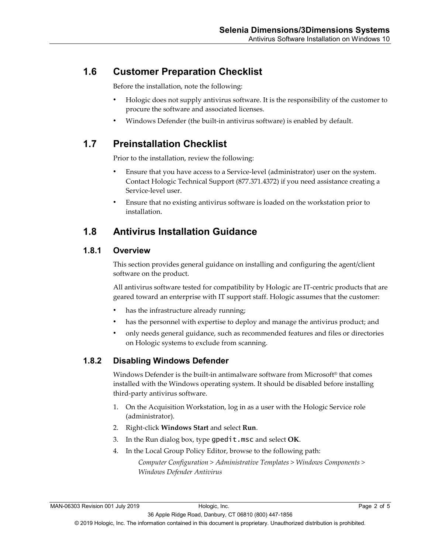### **1.6 Customer Preparation Checklist**

Before the installation, note the following:

- Hologic does not supply antivirus software. It is the responsibility of the customer to procure the software and associated licenses.
- Windows Defender (the built-in antivirus software) is enabled by default.

## **1.7 Preinstallation Checklist**

Prior to the installation, review the following:

- Ensure that you have access to a Service-level (administrator) user on the system. Contact Hologic Technical Support (877.371.4372) if you need assistance creating a Service-level user.
- Ensure that no existing antivirus software is loaded on the workstation prior to installation.

### **1.8 Antivirus Installation Guidance**

#### **1.8.1 Overview**

This section provides general guidance on installing and configuring the agent/client software on the product.

All antivirus software tested for compatibility by Hologic are IT-centric products that are geared toward an enterprise with IT support staff. Hologic assumes that the customer:

- has the infrastructure already running;
- has the personnel with expertise to deploy and manage the antivirus product; and
- only needs general guidance, such as recommended features and files or directories on Hologic systems to exclude from scanning.

### **1.8.2 Disabling Windows Defender**

Windows Defender is the built-in antimalware software from Microsoft® that comes installed with the Windows operating system. It should be disabled before installing third-party antivirus software.

- 1. On the Acquisition Workstation, log in as a user with the Hologic Service role (administrator).
- 2. Right-click **Windows Start** and select **Run**.
- 3. In the Run dialog box, type gpedit.msc and select **OK**.
- 4. In the Local Group Policy Editor, browse to the following path:

*Computer Configuration > Administrative Templates > Windows Components > Windows Defender Antivirus*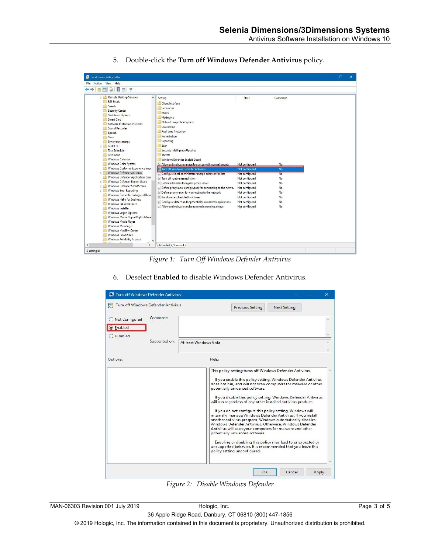

5. Double-click the **Turn off Windows Defender Antivirus** policy.

*Figure 1: Turn Off Windows Defender Antivirus*

6. Deselect **Enabled** to disable Windows Defender Antivirus.

| Turn off Windows Defender Antivirus  |                                     | ×                                                                                                                                                                                                                                                                                                                                                                                                                                                                                                                                                                                                                                                                                                                                                                                                                                                                                  |
|--------------------------------------|-------------------------------------|------------------------------------------------------------------------------------------------------------------------------------------------------------------------------------------------------------------------------------------------------------------------------------------------------------------------------------------------------------------------------------------------------------------------------------------------------------------------------------------------------------------------------------------------------------------------------------------------------------------------------------------------------------------------------------------------------------------------------------------------------------------------------------------------------------------------------------------------------------------------------------|
|                                      | Turn off Windows Defender Antivirus | <b>Previous Setting</b><br><b>Next Setting</b>                                                                                                                                                                                                                                                                                                                                                                                                                                                                                                                                                                                                                                                                                                                                                                                                                                     |
| ◯ Not Configured<br><b>C</b> Enabled | Comment:                            |                                                                                                                                                                                                                                                                                                                                                                                                                                                                                                                                                                                                                                                                                                                                                                                                                                                                                    |
| O Disabled                           | Supported on:                       | At least Windows Vista                                                                                                                                                                                                                                                                                                                                                                                                                                                                                                                                                                                                                                                                                                                                                                                                                                                             |
| Options:                             |                                     | Help:                                                                                                                                                                                                                                                                                                                                                                                                                                                                                                                                                                                                                                                                                                                                                                                                                                                                              |
|                                      |                                     | This policy setting turns off Windows Defender Antivirus.<br>If you enable this policy setting, Windows Defender Antivirus<br>does not run, and will not scan computers for malware or other<br>potentially unwanted software.<br>If you disable this policy setting, Windows Defender Antivirus<br>will run regardless of any other installed antivirus product.<br>If you do not configure this policy setting, Windows will<br>internally manage Windows Defender Antivirus. If you install<br>another antivirus program, Windows automatically disables<br>Windows Defender Antivirus. Otherwise, Windows Defender<br>Antivirus will scan your computers for malware and other<br>potentially unwanted software.<br>Enabling or disabling this policy may lead to unexpected or<br>unsupported behavior. It is recommended that you leave this<br>policy setting unconfigured. |
|                                      |                                     | OK<br>Cancel<br>Apply                                                                                                                                                                                                                                                                                                                                                                                                                                                                                                                                                                                                                                                                                                                                                                                                                                                              |

*Figure 2: Disable Windows Defender*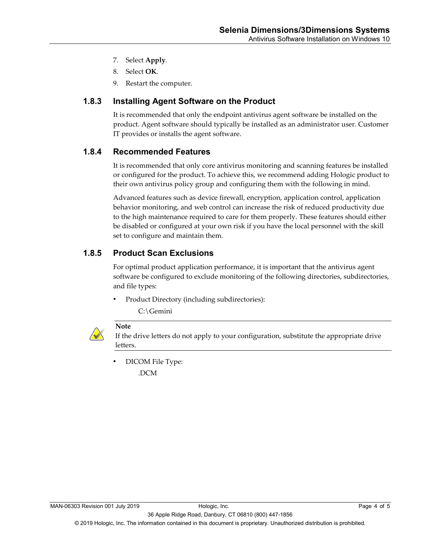- 7. Select **Apply**.
- 8. Select **OK**.
- 9. Restart the computer.

#### **1.8.3 Installing Agent Software on the Product**

It is recommended that only the endpoint antivirus agent software be installed on the product. Agent software should typically be installed as an administrator user. Customer IT provides or installs the agent software.

#### **1.8.4 Recommended Features**

It is recommended that only core antivirus monitoring and scanning features be installed or configured for the product. To achieve this, we recommend adding Hologic product to their own antivirus policy group and configuring them with the following in mind.

Advanced features such as device firewall, encryption, application control, application behavior monitoring, and web control can increase the risk of reduced productivity due to the high maintenance required to care for them properly. These features should either be disabled or configured at your own risk if you have the local personnel with the skill set to configure and maintain them.

#### **1.8.5 Product Scan Exclusions**

For optimal product application performance, it is important that the antivirus agent software be configured to exclude monitoring of the following directories, subdirectories, and file types:

• Product Directory (including subdirectories):

C:\Gemini



#### **Note**

If the drive letters do not apply to your configuration, substitute the appropriate drive letters.

• DICOM File Type:

.DCM